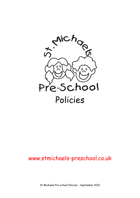

# www.stmichaels-preschool.co.uk

St Michaels Pre-school Policies – September 2021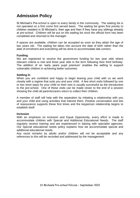# **Admission Policy**

St Michael's Pre-school is open to every family in the community. The waiting list is not operated on a first come first served basis. The waiting list gives first priority to children resident in St Michael's, their age and then if they have any siblings already at pre-school. Children will be put on the waiting list once the official form has been completed and returned to the manager.

If spaces are available, children can be accepted as soon as they attain the age of two years old. The waiting list takes into account the date of birth rather than the date of enrolment and everything will be done to accommodate late comers.

#### **Funding**

We are registered to receive the government funding for two year olds where relevant criteria is met and three year olds in the term following their third birthday. The addition of an 'early years pupil premium' enables the setting to support vulnerable children in achieving better outcomes.

#### **Settling In**

When you are confident and happy to begin leaving your child with us we work closely with a regime that suits you and your child. A few short visits followed by one or two short stays for your child on their own is usually successful as the introduction to the pre-school. One of these visits can be made closer to the end of a session showing the child all parents/carers return to collect their children.

A member of staff will help with the separation by initiating a relationship with you and your child and using activities that interest them. Positive conversation and lots of reassurance supports these first times and the keyperson relationship begins to establish itself.

#### **Inclusion**

With an emphasis on Inclusion and Equal Opportunity, every effort is made to accommodate children with Special and Additional Educational Needs. The staff regularly receive training and are experienced in liaising with specialist agencies. Our Special educational needs policy explains how we accommodate special and additional educational needs.

Any racist remarks by adults and/or children will not be acceptable and any references to this will be recorded and addressed by the management.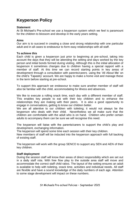# **Keyperson Policy**

#### **Statement**

At St Michael's Pre-school we use a keyperson system which we feel is paramount for the children to blossom and develop in the early years setting.

#### **Aims**

Our aim is to succeed in creating a close and strong relationship with one particular adult and in all cases to endeavour to form easy relationships with all staff.

#### **To achieve this**

Each child is given a keyperson just prior to beginning at pre-school, taking into account the days that they will be attending the setting and days worked by the key person and initial bonds formed during visiting. Although this is the initial allocation of keyperson it sometimes changes due to children having a special rapport with a member of staff. At this time we can record starting points in key areas of development through a consultation with parents/carers, using the 'All About Me' on the child's 'Tapestry' account. We are happy to make a home visit and manage these in the term before starting at pre-school.

To support this approach we endeavour to make sure another member of staff will also be familiar with the child, accommodating for illness and absences.

We like to execute a rolling snack time, each day with a different member of staff. This enables key people to eat with their key children and to enhance the relationships they are making with their peers. It is also a good opportunity to engage in conversations, getting to know our children better.

We are all attentive to our children with toileting; it would not always be the keyperson who deals with their child. Nevertheless we all make sure that the children are comfortable with the adult who is on hand. Children who prefer certain adults to accompany them can be sure we will recognise this need.

The keyperson will liaise with the parents/carers to support the child's play and development, exchanging information.

The keyperson will spend some time each session with their key children.

New members of staff will be inducted into the keyperson approach with full backing of existing staff.

The keyperson will work with the group SENCO to support any SEN and AEN of their key children.

#### **Staff deployment**

During the session staff will know their areas of direct responsibility which are set out in a daily staff rota. With free flow play to the outside area staff will move and accommodate the correct staff child ratios. The layout of the setting ensures an adult is available to help with toileting, snack time, activities and individual needs. All staff are flexible and have a sound knowledge of the daily numbers of each age. Attention to some stage development will impact on these numbers.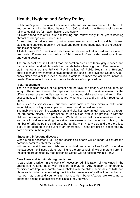### **Health, Hygiene and Safety Policy**

St Michael's pre-school aims to provide a safe and secure environment for the child and conforms with the Food Safety Act 1990 and with the Pre-school Learning Alliance guidelines for health, hygiene and safety.

All staff attend 'pediatrics' first aid training and renew every three years keeping abreast of changes and procedures.

At least two first aiders are in post at every session and the first aid box is well stocked and checked regularly. All staff and parents are made aware of the accident and incident books.

All staff have a DBS check and only these people can look after children on a one to one basis. Please read our policy on 'child protection' and 'safe guarding' children and young people.

The pre-school ensures that all food preparation areas are thoroughly cleaned and that all children and adults wash their hands before handling food. One member of staff has obtained the RIPHH (Royal Institute of Public Health and Hygiene) qualification and two members have attended the Basic Food Hygiene Course. At our snack times we aim to provide nutritious options to meet the children's individual needs. Please refer to our 'snack policy' for details of our procedure.

### **Risk Assessment**

There are regular checks of equipment and the toys for damage, which could cause injury. These are reviewed for repair or replacement. A Risk Assessment for the different areas of the mobile class room is carried out daily and a record kept. Each assessment will have what the risks are, who is at risk and any action required or taken.

Tools such as scissors and our wood work tools are only available with adult supervision, showing by example how these should be held and used.

The mobile classroom fire extinguishers and blanket have annual inspections through the fire safety officer. The pre-school carries out an evacuation procedure with the children on a regular basis each term. We hold the fire drill for one week each term so that all children attending the setting are aware of the procedure. Having this number of drills helps the children to be familiar with what we do and therefore less likely to be alarmed in the event of an emergency. These fire drills are recorded by date and time in the register.

#### **Illness and infectious diseases**

When a child becomes ill during the session all efforts will be made to contact the parent or carer to collect their child.

With regard to sickness and diahorea your child needs to be free for 48 hours after the last bought of illness before returning to the pre-school. If two or more children in the setting are affected by food poisoning Ofsted will be notified within 14 days.

### **Care Plans and Administering medicines**

A care plan is written in the event of necessary administration of medicines in the appropriate records book with relevant signatures. Any regular or emergency medicines are kept in separate boxes labeled with the child's name date of birth and photograph. When administering medicine two members of staff will be involved so that we may sign and counter sign the records. Parents/carers are welcome to attend the setting to administer medicines if they so wish.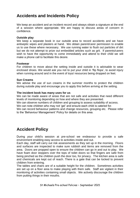### **Accidents and Incidents Policy**

We keep an accident and an incident record and always obtain a signature at the end of a session where appropriate. We are happy to discuss areas of concern in confidence.

#### **Outside play**

We keep a separate book in our outside area to record accidents and we have antiseptic wipes and plasters at hand. We obtain parent/carer permission to enable us to use these where necessary. We use running water to flush out particles of dirt but we do not attempt to prize out embedded articles such as grit. If parents/carers wish to have the opportunity to come immediately and attend to their child we will make a phone call to facilitate this desire.

#### **Footwear**

For children to move about the setting inside and outside it is advisable to wear enclosed shoes. We would ask you not to put your child in 'flip flops', to avoid injury when running around and in the event of toys/ resources being dropped on feet.

### **Sun Creams**

We advise the use of sun creams in the summer months to protect the children during outside play and encourage you to apply this before arriving at the setting.

### **The incident book has many uses for us**

We can be made aware of areas that are not safe and activities that need different levels of monitoring depending on how and where they are presented.

We can observe numbers of children and grouping to assess suitability of access.

We can note children who may not 'gel' and ensure each child is catered for.

We can record behaviour patterns and change resources, grouping etc. Please refer to the 'Behaviour Management' Policy for details on this area.

### **Accident Policy**

During your child's session at pre-school we endeavour to provide a safe environment enabling easy access to activities inside and out.

Each day, staff will carry out risk assessments as they set up in the morning. Floors and surfaces are inspected to make sure rubbish and items are removed from the area. Doors are propped open to ensure the children can go in and out to play. We have foam door stoppers over the tops of toilet doors so that fingers are safe from being pinched as the children push the door too, for privacy. The kitchen area is safe and chemicals are kept out of reach. There is a gate that can be locked to prevent children from entering.

The tables and chairs are of a suitable height for the children. Sometimes activities are set up on a floor area to make playing with them safe. Staff are vigilant in their monitoring of activities containing small objects. We actively discourage the children from putting things in their mouths.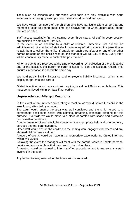Tools such as scissors and our wood work tools are only available with adult supervision, showing by example how these should be held and used.

We have visual reminders of the children who have particular allergies so that any member of staff delivering snack time can always refer to when unsure about foods that are on offer.

Staff access paediatric first aid training every three years. All staff in every session are qualified to administer First Aid.

In the event of an accident to a child or children, immediate first aid will be administrated. A member of staff shall make every effort to contact the parent/carer to ask them to collect the child. If unable to reach parent/carer or any of the other named persons on the child's records, the manager will call 111 or 999. Every effort will be continuously made to contact the parent/carer.

Minor accidents are recorded at the time of occurring. On collection of the child at the end of the session, the parent or carer is asked to sign the accident record. This ensures information is shared the same day.

We hold public liability insurance and employer's liability insurance, which is on display for parents and carers.

Ofsted is notified about any accident requiring a call to 999 for an ambulance. This must be achieved within 14 days if not earlier.

### **Unprecedented Allergic Reactions**

In the event of an unprecedented allergic reaction we would isolate the child in the area found, attended by an adult.

The adult would ensure the area was well ventilated and the child helped to a comfortable position to assist with calming, breathing, loosening clothing for this purpose. If outside we would move to a place of comfort with shade and protection from weather conditions.

Another member of staff would be contacting the appropriate help and or emergency services and the parents/carers.

Other staff would ensure the children in the setting were engaged elsewhere and any alarmed children were calmed.

A record of events would be made in the appropriate paperwork and Ofsted informed within two weeks.

Following the event the manager will meet with the parent / carer to update personal details and any care plans that may need to be put in place.

A meeting would be planned to inform staff on procedures and to reassure any staff involved in the event.

Any further training needed for the future will be sourced.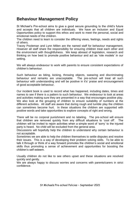### **Behaviour Management Policy**

St Michael's Pre-school aims to give a good secure grounding to the child's future and accepts that all children are individuals. We have an Inclusion and Equal Opportunities policy to support this ethos and work to meet the personal, social and emotional needs of the children.

The children need to learn to consider the differing views, feelings, needs and rights of others.

Tracey Pooleman and Lynn Millen are the named staff for behaviour management. However all staff share the responsibility for ensuring children treat each other and the environment with thoughtfulness. We keep abreast of legislation, research and thinking on how best to promote positive behaviour and act as 'role models' in our setting.

We will always endeavour to work with parents to ensure consistent expectations of children's behaviour.

Such behaviour as biting, kicking, throwing objects, swearing and discriminating behaviour and remarks are unacceptable. The pre-school will treat all such behaviour with understanding and will be positive in it's' praise and encouragement of good acceptable behaviour.

Our incident book is used to record what has happened, including dates, times and names to see if there is a pattern to such behaviour. We endeavour to look at areas and activities making sure they are presented in a way that encourages positive play. We also look at the grouping of children to ensure suitability of numbers at the different activities. All staff are aware that during rough and tumble play the children can sometimes become hurt. In these situations the children are supported with positive words and take opportunities to explore concepts of right and wrong.

There will be no corporal punishment and no labeling. The pre-school will ensure that children are removed quickly from any difficult situations to 'cool off'. The children will be invited to rejoin activities when a simple word of 'sorry' to the injured party is heard. No child will be excluded from the general area.

Discussions will hopefully help the children to understand why certain behaviour is not acceptable.

Sometimes we are able to help the children themselves to settle disputes and resolve their issues. This is a way of developing their problem solving skills. To be able to talk it through or think of a way forward promotes the children's social and emotional skills thus promoting a sense of achievement and opportunities for boosting the children's self esteem.

Usually children do not like to see others upset and these situations are resolved quickly and gently.

We are always happy to discuss worries and concerns with parents/carers in strict confidence.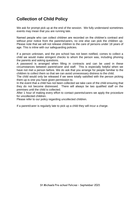### **Collection of Child Policy**

We ask for prompt pick up at the end of the session. We fully understand sometimes events may mean that you are running late.

Named people who can collect children are recorded on the children's contract and without prior notice from the parents/carers, no one else can pick the children up. Please note that we will not release children to the care of persons under 18 years of age. This is inline with our safeguarding policies.

If a person unknown, and the pre school has not been notified, comes to collect a child we would make stringent checks to whom the person was, including phoning the parents and asking questions.

A password is arranged when filling in contracts and can be used in these circumstances between parent/carer and staff. This is especially helpful when we have not met a person before. We do ask that you arrange for people familiar to the children to collect them so that we can avoid unnecessary distress to the child.

The child would only be released if we were totally satisfied with the person picking them up is one you have given permission to.

In the event that a child has not been collected we take care of the child ensuring that they do not become distressed. There will always be two qualified staff on the premises until the child is collected.

After 1 hour of making every effort to contact parents/carers we apply the procedure for uncollected children.

Please refer to our policy regarding uncollected children.

If a parent/carer is regularly late to pick up a child they will incur a charge.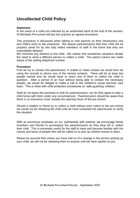### **Uncollected Child Policy**

#### **Statement**

In the event of a child not collected by an authorised adult at the end of the session, St Michaels Pre-school will put into practice an agreed procedure.

This procedure is discussed when talking to new parents on their introductory visit and child's entry to the preschool. We assure parents/carers that their child will be properly cared for by two fully vetted members of staff in the event that they are unavoidably delayed.

We minimise any distress to the child. We realise that sometimes situations dictate the need to send a different person to collect a child. The parent /carers are made aware of the setting telephone number.

#### **Procedure**

First we try to contact the parent/carer, if unable to make contact we would then be using the records to phone one of the named contacts. There will be at least two people named and we would hope to reach one of them to collect the child in question. After a period of an hour without being able to contact the necessary people, we would be obliged to make a call to the children's social services care team. This is inline with child protection procedures on 'safe guarding' children.

Staff do not leave the premises to look for parents/carers, nor do they agree to take a child home with them under any circumstances. Parents/carers should be aware that there is no insurance cover outside the opening hours of the pre-school.

Should a relative or friend try to collect a child without prior notice to the pre-school we would not be releasing the child until we have contacted the parent/carer to verify the situation.

With an enormous emphasis on our 'partnership with parents' we encourage family members and friends to accompany the parents/carers as they drop off or collect their child. This is extremely useful for the staff to meet and become familiar with the names and faces of people who will be called on to pick up children known to them.

Please be assured that unless you have told us of a change in the person picking up your child, we will not be releasing them to anyone until we have spoken to you.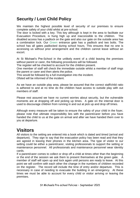### **Security / Lost Child Policy**

We maintain the highest possible level of security of our premises to ensure complete safety of your child whilst at pre-school.

The door is locked with a key. This key although is kept in the area to facilitate our Evacuation Procedure, is hung high up and inaccessible to the children. The disabled access has a padlock on the gate and also our gate on the outside area has a combination lock. Our Green entrance gate has a padlock and two bolts. The school has all gates padlocked during school hours. This ensures that no one is accessing us without prior arrangement and the children cannot leave without an escort.

At St Michael's Pre-School in the unlikely event of a child leaving the premises without parent or carer, the following procedures will be followed.

The register will be checked to account for the children present.

One member of staff will check the immediate outside whilst a member of staff rings the parent or carer and then alerts the police.

This would be followed by a full investigation into the incident.

Ofsted will be informed of the incident.

As we have an outside play area, please be assured that the correct staff/child ratio is adhered to and at no time do the children have access to outside play with out members of staff.

Please rest assured we have no current worries about security, but the vulnerable moments are at dropping off and picking up times. A gate on the internal door is used to discourage children from running in and out at pick up and drop off times.

Although every measure will be taken to ensure the safety of your child in the foyer, please note that ultimate responsibility lies with the parent/carer before you have handed the child to us at the gate on arrival and after we have handed them over to you at departure.

# **Visitors**

All visitors to the setting are entered into a book which is dated and timed (arrival and departure). They sign to say that the evacuation policy has been read and that they are agreed in leaving their phones in the kitchen area. The type of visitor to our setting could be either a parent/carer, visiting professionals to support the setting or maintenance personnel. All professionals and maintenance personnel wear identity cards.

If a parent/carer comes to collect or drop off a child at times other than the beginning or the end of the session we ask them to present themselves at the green gate. A member of staff will open up and lock again until persons are ready to leave. At this point we will confirm with each other the change in the numbers of children recorded on the register. The record will include the time of entry and/or departure. This is necessary in case of needing to evacuate the building in an emergency. At these times we must be able to account for every child or visitor arriving or leaving the premises.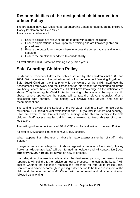### **Responsibilities of the designated child protection officer Policy**

The pre-school have two Designated Safeguarding Leads, for safe guarding children, Tracey Pooleman and Lynn Millen.

Their responsibilities are to:

- 1. Ensure policies are relevant and up to date with current legislation.
- 2. Ensure all practitioners have up to date training and are knowledgeable on procedures.
- 3. Ensure the practitioners know where to access the correct advice and who to speak to.
- 4. Ensure the practitioners adhere to confidentiality.

All staff attend Child Protection training every three years.

### **Safe Guarding Children Policy**

St Michaels Pre-school follows the policies set out by The Children's Act 1989 and 2004. With reference to the guidelines set out in the document 'Working Together to Safe Guard Children', the first priority is the welfare of the child. Staff use the Assessment Framework and the Thresholds for Intervention for monitoring childrens 'wellbeing' where there are concerns. All staff have knowledge on the definitions of abuse. They have regular Child Protection training to be aware of the signs of child abuse. Where appropriate the setting will contact the relevant agencies after a discussion with parents. The setting will always seek advice and act on recommendations.

The setting is aware of the Serious Crime Act 2015 relating to FGM (female genital mutilation), CSE (child sexual exploitation) and CTS (counter terrorism and security). Staff are aware of the 'Prevent Duty' of settings to be able to identify vulnerable children. Staff access regular training and e-learning to keep abreast of current legislation.

The setting will report evidence of FGM, CSE and Radicalisation to the Kent Police.

All staff at St Michaels Pre-school have D.B.S. checks.

What happens if an allegation of abuse is made against a member of staff in the Setting?

If anyone makes an allegation of abuse against a member of our staff, Tracey Pooleman (designated lead) will be informed immediately and will contact: **LA (local authority) 03000 410 888** for advise on how to proceed.

If an allegation of abuse is made against the designated person, the person it was reported to will call the LA for advice on how to proceed. The local authority (LA) will assess whether the allegation reaches the threshold for referral to Police/Social Services and advise accordingly regarding further action to be taken in respect of the child and the member of staff. Ofsted will be informed and all communication followed up in writing.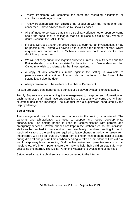- Tracey Pooleman will complete the form for recording allegations or complaints made against staff.
- Tracey Pooleman **will not discuss** the allegation with the member of staff concerned, unless advised to do so by Social Services.
- All staff need to be aware that it is a disciplinary offence not to report concerns about the conduct of a colleague that could place a child at risk. When in doubt – consult the LADO team.
- If Social Services and/or the police decide to carry out an investigation, it may be possible that Ofsted will advise us to suspend the member of staff, whilst enquiries are carried out. St Michaels Pre-school could also invoke their disciplinary procedure.
- We will not carry out an investigation ourselves unless Social Services and the Police decide it is not appropriate for them to do so. We understand that Ofsted may wish to undertake further investigations.
- A copy of any complaints made against the setting is available to parents/carers at any time. The records can be found in the foyer of the setting just inside the door
- Always remember -The welfare of the child is Paramount.

All staff are aware that inappropriate behaviour displayed by staff is unacceptable.

Termly Supervisions are enabling the management to keep current information on each member of staff. Staff have opportunities to discuss any concerns over children or staff during these meetings. The Manager has a supervision conducted by the Deputy Manager.

#### **Social Media**

The storage and use of phones and cameras in the setting is monitored. The cameras and tablets/ipads, are used to support and record developmental observations. The setting phone is used for communication with parents and emergency services. Private phones are kept in the kitchen area so that individual staff can be reached in the event of their own family members needing to get in touch. All visitors to the setting are required to leave phones in the kitchen away from the children. We also ask that you refrain from taking or making phone calls or texting during drop off and pick up times. When needing to take an important call we will ask you to step away from the setting. Staff decline invites from parents/carers on social media sites. We inform parents/carers on how to help their children stay safe when accessing the internet. The Digital Parenting Magazine is available to all families.

Setting media that the children use is not connected to the internet.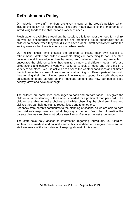### **Refreshments Policy**

On induction new staff members are given a copy of the group's policies, which include the policy for refreshments. They are made aware of the importance of introducing foods to the children for a variety of needs.

Fresh water is available throughout the session, this is to meet the need for a drink as well as encouraging independence and promoting equal opportunity for all children to choose when they would like to have a drink. Staff deployment within the setting ensures that there is adult support when needed.

Our 'rolling' snack time enables the children to initiate their own access to refreshment. Water and milk are available alongside something to eat. The staff have a sound knowledge of healthy eating and balanced diets, they are able to encourage the children with enthusiasm to try new and different foods. We use celebrations and observe a variety of cultures to look at foods and the diets in a variety of countries. We use activities to discuss the weather conditions and climates that influence the success of crops and animal farming in different parts of the world thus forming their diet. During snack time we take opportunity to talk about our enjoyment of foods as well as the nutritious content and how our bodies keep healthy, grow and develop strength.

The children are sometimes encouraged to cook and prepare foods. This gives the children an understanding of the amounts needed for a portion of food per child. The children are able to make choices and whilst observing the children's likes and dislikes they can help us plan to repeat foods and to try others.

Feedback from parents contributes to the planning of snacks, as we are able to note the children's responses and what they say at home. From the information the parents give we can plan to introduce new flavours/textures not yet experienced.

The staff have daily access to information regarding individuals, ie. Allergies, intolerance's, medical and cultural needs, this is updated on a regular basis and all staff are aware of the importance of keeping abreast of this area.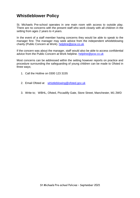### **Whistleblower Policy**

St. Michaels Pre-school operates in one main room with access to outside play. There are no concerns with the present staff who work closely with all children in the setting from ages 2 years to 4 years.

In the event of a staff member having concerns they would be able to speak to the manager first. The manager may seek advice from the independent whistleblowing charity (Public Concern at Work). [helpline@pcw.co.uk](mailto:helpline@pcw.co.uk)

If the concern was about the manager, staff would also be able to access confidential advice from the Public Concern at Work helpline. [helpline@pcw.co.uk](mailto:helpline@pcw.co.uk)

Most concerns can be addressed within the setting however reports on practice and procedure surrounding the safeguarding of young children can be made to Ofsted in three ways;

- 1. Call the Hotline on 0300 123 3155
- 2. Email Ofsted at [whistleblowing@ofsted.gov.uk](mailto:whistlebloeing@ofsted.gov.uk)
- 3. Write to; WBHL, Ofsted, Piccadilly Gate, Store Street, Manchester, M1 2WD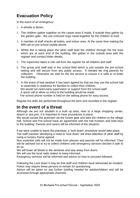# **Evacuation Policy**

In the event of an emergency:

- 1. A whistle is blown.
- 2. The children gather together on the carpet area if inside, if outside they gather by the garden gate. We use coloured rings roped together for the children to hold.
- 3. A member of staff checks all toilets, and indoor area. At the same time making the 999 call on pre-school mobile phone.
- 4. Whilst this is taking place the other staff lead the children through the fire exits which are at each end of the building. We gather in the outside area with the register and contact folder details.
- 5. The supervisor takes a role call from the register for all children and staff.
- 6. The group and staff wait in the school field which is just outside the pre-school setting and still secure from any public access. If needed we ring parents for collection. Otherwise we wait for the fire service to ensure it is safe to re-enter the building.
- 7. In the event of bad weather it has been agreed by that we may use the school hall to assemble in readiness for families to collect their children. We would not need extra supervision or support from the school staff. A quick call to allow us entry to the building would be made. The school phone number is held on the setting phone for easy access.

Regular fire drills are performed throughout the term and recorded in the register.

### **In the event of a threat**

Although we are not situated in a built up area, near to a large shopping center, airport or sea port, it is important to have procedures in place.

We would vacate the premises via the Green gate and take the children to the village hall. School and Pre-school have an agreement with the hall trustees and hold keys to the building. Parents and carers will be informed of the situation.

If we were unable to leave the premises, a 'lock down' procedure would take place.

The staff member identifying a need to 'lock down' will draw attention of other staff by using a nursery rhyme agreed.

Non essential calls will not be made from phones and parents will be informed. They will be advised not to try to collect children until emergency services declare it safe to do so.

We will lower all blinds to the windows and stay away from doors.

We will use the local radio station to keep informed.

Emergency services will be informed and advice on how to proceed followed.

Following the Lock down it may be that staff and children have witnessed an incident. Police may require these persons to remain for questioning.

Advice will be taken on any further briefing needed for adults/children and will be accessed through appropriate channels.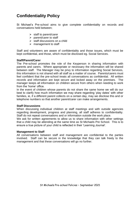# **Confidentiality Policy**

St Michael's Pre-school aims to give complete confidentiality on records and conversations held between;

- $\triangleright$  staff to parent/carer
- $\triangleright$  parent/carer to staff
- $\triangleright$  staff discussions on a child
- $\triangleright$  management to staff

Staff and volunteers are aware of confidentiality and those issues, which must be kept confidential, and those, which must be disclosed eg. Social Services.

#### **Staff/Parent/Carer**

The Pre-school promotes the role of the Keyperson in sharing information with parents and carers. Where appropriate or necessary the information will be shared between staff. The Manager may be privy to information regarding Social Services, this information is not shared with all staff as a matter of course. Parents/carers must feel confident that the pre-school treats all conversations as confidential. All written records and information are kept secure and locked away on the premises. The manager keeps all information on children secure from others when needing to work from the 'home' office.

In the event of children whose parents do not share the same home we will do our best to clarify how much information we may share regarding 'play dates' with other families, ie, if a different parent collects on a certain day, may we disclose this and or telephone numbers so that another parent/carer can make arrangements.

#### **Staff Discussions**

When discussing individual children at staff meetings and with outside agencies regarding development, progress and planning, all staff adheres to confidentiality. Staff do not repeat conversations and or information outside the work place.

We ask for written agreements to allow us to share information with other settings that a child may be attending at the same time as St Michaels Pre School. This is to ensure a true picture of your child is reflected in their 'Learning Journal'.

#### **Management to Staff**

All conversations between staff and management are confidential to the parties involved. Staff can be secure in the knowledge that they can talk freely to the management and that these conversations will go no further.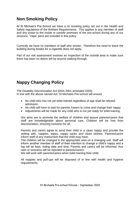### **Non Smoking Policy**

At St Michael's Pre-School we have a no smoking policy set out in the Health and Safety regulations of the Welfare Requirements. This applies to any member of staff and any visitor to the inside or outside premises of the pre-school during any of our sessions. 'Vape' pens are included in this policy.

Currently we have no members of staff who smoke. Therefore the need to leave the building during breaks for a cigarette does not apply.

Part of our risk assessment involves an inspection of the outside area to make sure there has been no debris left by anyone walking through.

# **Nappy Changing Policy**

The Disability Discrimination Act (DDA 2001 amended 2005) In line with the above named Act. St Michaels Pre-school will ensure

- No child who has not yet toilet trained regardless of age shall be refused admission.
- No child will have to wait for parents /carers to come and change their nappy.
- Adjustments will be made for any child who is not yet ready for toilet training.

Our aims are to promote the welfare of children and assure parents/carers that staff are knowledgeable about personal care. Children will be free from discrimination, ensuring inclusion for all.

Parents and carers agree to send their child in a clean nappy and provide the setting with, nappies, wipes, nappy sacks and clean clothes. Parents/carers inform staff of any marks/rash that the child may have.

The children will be changed in the appropriate area on a changing unit. Staff will inform another member of staff of their intention to change a child's nappy and a log will be kept, noting date and time. Parents and carers will be informed. Any rash or soreness will be reported to parents/carers.

We will work with parents/carers when toilet training their child.

All nappies and pull-ups will be disposed of in line with health and hygiene requirements.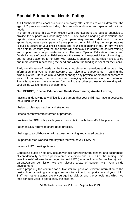# **Special Educational Needs Policy**

At St Michaels Pre-School our admission policy offers places to all children from the age of 2 years onwards including children with additional and special educational needs.

In order to achieve this we work closely with parents/carers and outside agencies to provide the support your child may need. This involves ongoing observations and reports where necessary and a good parent/key worker relationship. Where appropriate, meeting with parents/carers prior to their child joining the group helps us to build a picture of your child's needs and your expectations of us. In turn we are then able to reassure you that the group will endeavour to source the correct training and support most appropriate to you. The new Special Education Needs and Disability code of practice 2014 sets out the roles and responsibilities of working to get the best outcomes for children with SEND. It ensures that families have a voice and more control in accessing the need and where the funding is spent for their child.

Early identification of needs can be found through our observations and records. Any information that you as parents/carers can give also supports us in gaining the 'whole' picture. Here we aim to adapt or change any physical or emotional barriers to your child accessing the curriculum and enjoying achievements of their potential. There is space on the enrolment form to list any other professionals working with your childs wellbeing and development.

### **Our 'SENCO', (Special Educational Needs Coordinator) Amelia Lawton,**

..assists in identifying any difficulties or barriers that your child may have in accessing the curriculum in full.

- ..helps to plan approaches and strategies.
- ..keeps parents/carers informed of progress.
- ..reviews the SEN policy each year -in consultation with the staff of the pre- school.
- ..attends SEN forums to share good practice.
- ..belongs to a collaboration with access to training and shared practice.

..support all staff working with keychildren who have SEN/AEN.

..attends LIFT meetings termly.

Contacting outside help only occurs with full parental/carers consent and assurances of confidentiality between parent/carer, keyperson and SENCO of the setting. This year the Ashford area have begun to hold LIFT (Local Inclusion Forum Team). With parents/carers permission we can discuss areas of concern with your childs development.

When preparing the children for a Transfer we pass on relevant information to the next school or setting ensuring a smooth transition to support you and your child. Staff from other settings are encouraged to visit us and the schools into which we feed conduct visits to get to know the children.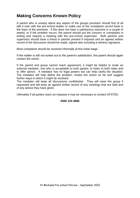### **Making Concerns Known Policy**

A parent who is uneasy about any aspect of the groups provision should first of all talk it over with the pre-school leader or make use of the complaints record book in the foyer of the premises. If this does not have a satisfactory outcome in a couple of weeks, or if the problem recurs, the parent should put the concern or complaints in writing and request a meeting with the pre-school supervisor. Both parents and supervisor should have a friend or partner present if required and an agreed written record of the discussion should be made, signed also including a witness signature.

Most complaints should be resolved informally at this initial stage.

If the matter is still not sorted out to the parent's satisfaction, the parent should again contact the owner.

If the parent and group cannot reach agreement, it might be helpful to invite an external mediator, one who is acceptable to both parties, to listen to both sides and to offer advice. A mediator has no legal powers but can help clarify the situation. The mediator will help define the problem, review the action so far and suggest further ways in which it might be resolved.

The mediator will keep all discussions confidential. They will meet the group if requested and will keep an agreed written record of any meetings that are held and of any advice they have given.

Ultimately if all parties reach an impasse it may be necessary to contact OFSTED

#### **0300 123 4666**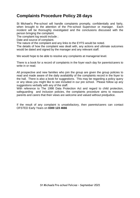### **Complaints Procedure Policy 28 days**

St Michael's Pre-school will handle complaints promptly, confidentially and fairly, when brought to the attention of the Pre-school Supervisor or manager. Each incident will be thoroughly investigated and the conclusions discussed with the person bringing the complaint.

The complaint log would include ;

Date and source of complaint.

The nature of the complaint and any links to the EYFS would be noted.

The details of how the complaint was dealt with, any actions and ultimate outcomes would be dated and signed by the manager and any relevant staff.

We would hope to be able to resolve any complaints at managerial level.

There is a book for a record of complaints in the foyer each day for parents/carers to write in or read.

All prospective and new families who join the group are given the group policies to read and made aware of the daily availability of the complaints record in the foyer to the hall. There is also a book for suggestions. This may be regarding a policy query or any ideas you might like to see included in our pre school. Please follow up any suggestions verbally with any of the staff.

With reference to The 1998 Data Protection Act and regard to child protection, safeguarding and inclusion policies, the complaints procedure aims to reassure parents and carers that their views are welcome and valued without predjudice.

If the result of any complaint is unsatisfactory, then parents/carers can contact OFSTED Early Years on **0300 123 4666**